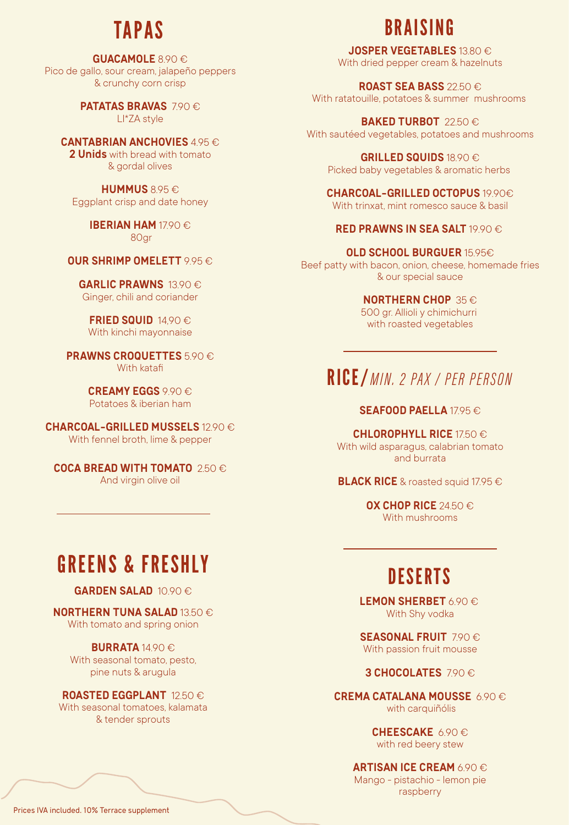### **TAPAS**

**GUACAMOLE** 8.90 € Pico de gallo, sour cream, jalapeño peppers & crunchy corn crisp

> **PATATAS BRAVAS** 7.90 € LI\*ZA style

**CANTABRIAN ANCHOVIES** 495 € **2 Unids** with bread with tomato & gordal olives

**HUMMUS** 8.95 € Eggplant crisp and date honey

> **IBERIAN HAM** 1790 € 80gr

**OUR SHRIMP OMELETT** 9.95 €

**GARLIC PRAWNS** 13.90 € Ginger, chili and coriander

**FRIED SQUID** 14,90 € With kinchi mayonnaise

**PRAWNS CROQUETTES** 5.90 € With katafi

> **CREAMY EGGS** 9.90 € Potatoes & iberian ham

**CHARCOAL-GRILLED MUSSELS** 12.90 € With fennel broth, lime & pepper

**COCA BREAD WITH TOMATO** 2.50 € And virgin olive oil

# GREENS & FRESHLY

#### **GARDEN SALAD** 10.90 €

**NORTHERN TUNA SALAD** 13.50 € With tomato and spring onion

**BURRATA** 14.90 € With seasonal tomato, pesto, pine nuts & arugula

**ROASTED EGGPLANT** 12.50 € With seasonal tomatoes, kalamata & tender sprouts

# BRAISING

**JOSPER VEGETABLES** 13.80 € With dried pepper cream & hazelnuts

**ROAST SEA BASS** 22.50 € With ratatouille, potatoes & summer mushrooms

**BAKED TURBOT** 22.50 € With sautéed vegetables, potatoes and mushrooms

> **GRILLED SQUIDS** 18.90 € Picked baby vegetables & aromatic herbs

**CHARCOAL-GRILLED OCTOPUS** 19.90€ With trinxat, mint romesco sauce & basil

#### **RED PRAWNS IN SEA SALT 19.90 €**

**OLD SCHOOL BURGUER** 15.95€ Beef patty with bacon, onion, cheese, homemade fries & our special sauce

**NORTHERN CHOP** 35 €

500 gr. Allioli y chimichurri with roasted vegetables

### RICE/ MIN. 2 PAX / PER PERSON

### **SEAFOOD PAELLA 1795€**

**CHLOROPHYLL RICE** 17.50 € With wild asparagus, calabrian tomato and burrata

**BLACK RICE** & roasted squid 17.95 €

**OX CHOP RICE** 24.50 € With mushrooms

### **DESERTS**

**LEMON SHERBET** 6.90 € With Shy vodka

**SEASONAL FRUIT** 7.90 € With passion fruit mousse

**3 CHOCOLATES** 790 €

**CREMA CATALANA MOUSSE** 6.90 € with carquiñólis

> **CHEESCAKE** 6.90 € with red beery stew

**ARTISAN ICE CREAM** 6.90 €

Mango - pistachio - lemon pie raspberry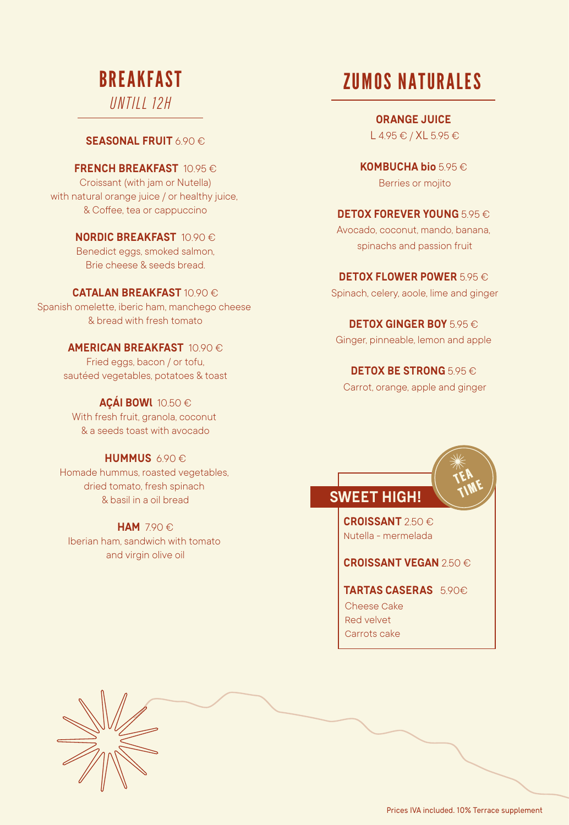### BREAKFAST *UNTII 12H*

**SEASONAL FRUIT** 6.90 €

**FRENCH BREAKFAST** 10.95 € Croissant (with jam or Nutella) with natural orange juice / or healthy juice, & Coffee, tea or cappuccino

> **NORDIC BREAKFAST** 10.90 € Benedict eggs, smoked salmon, Brie cheese & seeds bread.

#### **CATALAN BREAKFAST** 10.90 €

Spanish omelette, iberic ham, manchego cheese & bread with fresh tomato

> **AMERICAN BREAKFAST** 10.90 € Fried eggs, bacon / or tofu,

sautéed vegetables, potatoes & toast

#### **AÇÁI BOWl** 10.50 €

With fresh fruit, granola, coconut & a seeds toast with avocado

#### **HUMMUS** 6.90 €

Homade hummus, roasted vegetables, dried tomato, fresh spinach & basil in a oil bread

### **HAM** 7.90 €

Iberian ham, sandwich with tomato and virgin olive oil

# ZUMOS NATURALES

**ORANGE JUICE**  L 4.95 € / XL 5.95 €

**KOMBUCHA bio** 5.95 € Berries or mojito

#### **DETOX FOREVER YOUNG** 5.95 €

Avocado, coconut, mando, banana, spinachs and passion fruit

**DETOX FLOWER POWER 5.95 €** 

Spinach, celery, aoole, lime and ginger

**DETOX GINGER BOY** 5.95 €

Ginger, pinneable, lemon and apple

**DETOX BE STRONG** 5.95 €

Carrot, orange, apple and ginger

### **SWEET HIGH!**

**CROISSANT** 2.50 € nutella - mermelada

### **CROISSANT VEGAN** 2.50 €

**TARTAS CASERAS** 5.90€ Cheese cake red velvet carrots cake



Prices IVA included. 10% Terrace supplement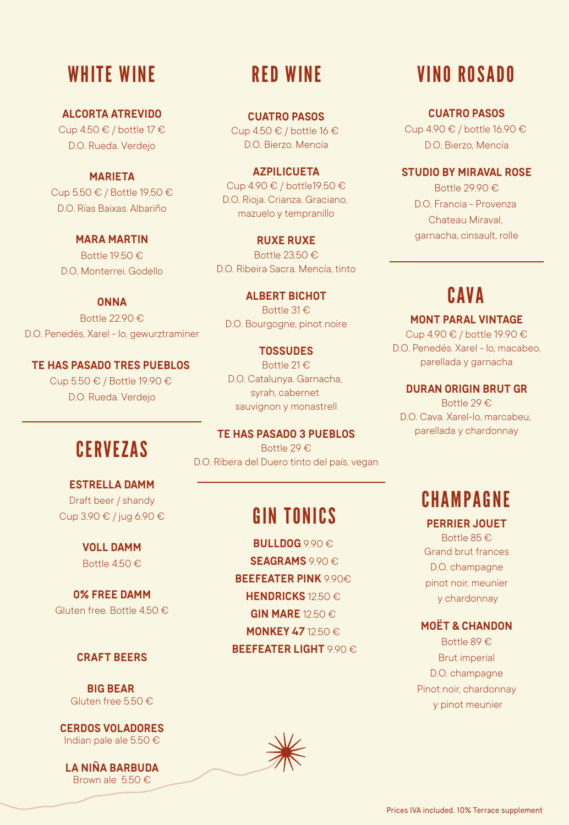### WHITE WINE RED WINE

**ALCORTA ATREVIDO** Cup 4.50 € / bottle 17 € D.O. Rueda. Verdejo

**MARIETA** Cup 5.50 € / Bottle 19.50 € D.O. Rías Baixas. Albariño

**MARA MARTIN** Bottle 19.50 € D.O. Monterrei. Godello

**ONNA** Bottle 22.90 € D.O. Penedés, Xarel - lo, gewurztraminer

**TE HAS PASADO TRES PUEBLOS**  Cup 5.50 € / Bottle 19.90 € D.O. Rueda. Verdejo

# **CERVEZAS**

**ESTRELLA DAMM** Draft beer / shandy Cup 3.90 € / jug 6.90 €

> **VOLL DAMM** Bottle 4.50 €

**0% FREE DAMM** Gluten free. Bottle 4.50 €

#### **CRAFT BEERS**

**BIG BEAR**  Gluten free 5.50 €

**CERDOS VOLADORES** Indian pale ale 5.50 €

**LA NIÑA BARBUDA** Brown ale 5.50 €

**CUATRO PASOS** Cup 4.50  $\in$  / bottle 16  $\in$ D.O. Bierzo. Mencía

**AZPILICUETA** Cup 4.90 € / bottle19.50 € D.O. Rioja. Crianza. Graciano, mazuelo y tempranillo

**RUXE RUXE** Bottle 23.50 € D.O. Ribeira Sacra. Mencía, tinto

**ALBERT BICHOT** Bottle 31 € D.O. Bourgogne, pinot noire

**TOSSUDES** Bottle 21 € D.O. Catalunya. Garnacha, syrah, cabernet sauvignon y monastrell

**TE HAS PASADO 3 PUEBLOS** Bottle 29 € D.O. Ribera del Duero tinto del país, vegan

## GIN TONICS

**BULLDOG** 9.90 € **SEAGRAMS** 9.90 € **BEEFEATER PINK** 9.90€ **HENDRICKS** 12.50 € **GIN MARE** 12.50 € **MONKEY 47** 12.50 € **BEEFEATER LIGHT** 9.90 €

### VINO ROSADO

**CUATRO PASOS**

Cup 4.90 € / bottle 16.90 € D.O. Bierzo, Mencía

### **STUDIO BY MIRAVAL ROSE**

Bottle 29.90 € D.O. Francia - Provenza Chateau Miraval, garnacha, cinsault, rolle

### **CAVA**

**MONT PARAL VINTAGE** Cup 4.90 € / bottle 19.90 € D.O. Penedés. Xarel - lo, macabeo, parellada y garnacha

**DURAN ORIGIN BRUT GR**

Bottle 29 € D.O. Cava. Xarel-lo, marcabeu, parellada y chardonnay

### CHAMPAGNE

**PERRIER JOUET**

Bottle 85 € Grand brut frances D.O. champagne pinot noir, meunier y chardonnay

#### **MOËT & CHANDON**

Bottle 89 € Brut imperial D.O. champagne Pinot noir, chardonnay y pinot meunier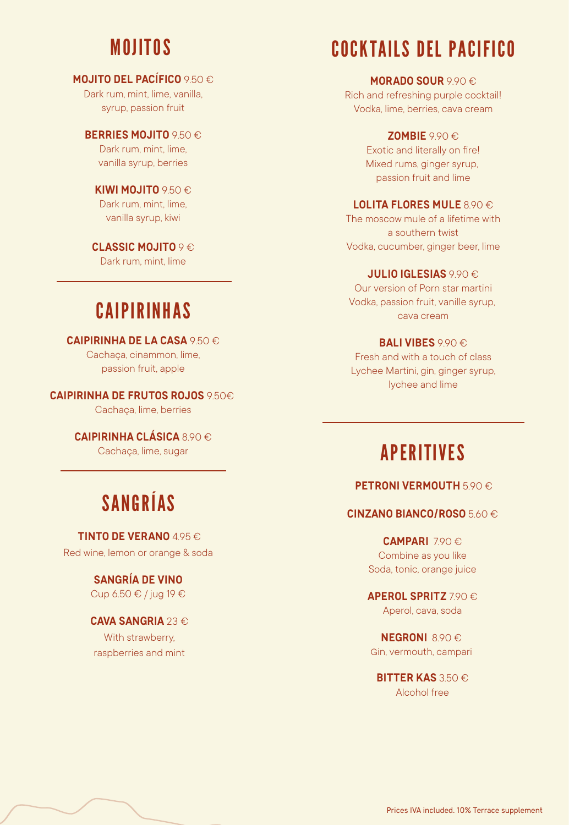### MOJITOS

### **MOJITO DEL PACÍFICO** 9.50 €

Dark rum, mint, lime, vanilla syrup, passion fruit

**BERRIES MOJITO** 9.50 € Dark rum, mint, lime vanilla syrup, berries

**KIWI MOJITO** 9.50 € Dark rum, mint, lime, vanilla syrup, kiwi

**CLASSIC MOJITO** 9 € Dark rum, mint, lime

### CAIPIRINHAS

**CAIPIRINHA DE LA CASA** 9.50 € Cachaça, cinammon, lime, passion fruit, apple

**CAIPIRINHA DE FRUTOS ROJOS** 9.50€ Cachaça, lime, berries

> **CAIPIRINHA CLÁSICA** 8.90 € Cachaça, lime, sugar

# SANGRÍAS

**TINTO DE VERANO** 495 € Red wine, lemon or orange & soda

> **SANGRÍA DE VINO**  Cup 6.50 € / jug 19 €

**CAVA SANGRIA** 23 € With strawberry, raspberries and mint

# COCKTAILS DEL PACIFICO

**MORADO SOUR** 9.90 €

Rich and refreshing purple cocktail! Vodka, lime, berries, cava cream

**ZOMBIE** 9.90 €

Exotic and literally on fire! Mixed rums, ginger syrup, passion fruit and lime

### **LOLITA FLORES MULE** 890 €

The moscow mule of a lifetime with a southern twist Vodka, cucumber, ginger beer, lime

#### **JULIO IGLESIAS** 990 €

Our version of Porn star martini Vodka, passion fruit, vanille syrup, cava cream

#### **BALI VIBES** 9.90 €

Fresh and with a touch of class Lychee Martini, gin, ginger syrup, lychee and lime

### APERITIVES

#### **PETRONI VERMOUTH** 5.90 €

#### **CINZANO BIANCO/ROSO** 5.60 €

**CAMPARI** 7.90 € Combine as you like Soda, tonic, orange juice

### **APEROL SPRITZ** 7.90 €

Aperol, cava, soda

**NEGRONI 890€** gin, vermouth, campari

**BITTER KAS 350 €** Alcohol free